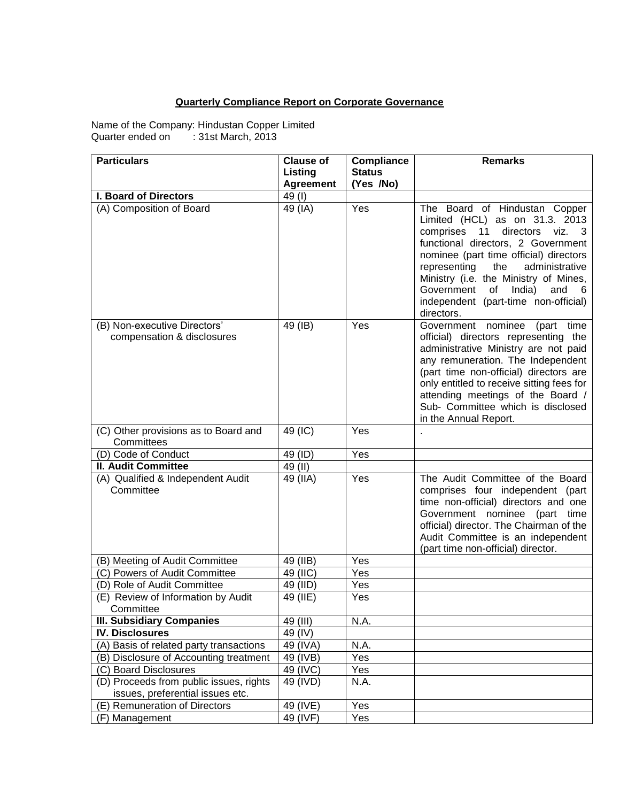## **Quarterly Compliance Report on Corporate Governance**

Name of the Company: Hindustan Copper Limited Quarter ended on : 31st March, 2013

| <b>Particulars</b>                                                          | <b>Clause of</b> | <b>Compliance</b> | <b>Remarks</b>                                                                                                                                                                                                                                                                                                                                                                |
|-----------------------------------------------------------------------------|------------------|-------------------|-------------------------------------------------------------------------------------------------------------------------------------------------------------------------------------------------------------------------------------------------------------------------------------------------------------------------------------------------------------------------------|
|                                                                             | Listing          | <b>Status</b>     |                                                                                                                                                                                                                                                                                                                                                                               |
|                                                                             | <b>Agreement</b> | (Yes /No)         |                                                                                                                                                                                                                                                                                                                                                                               |
| <b>I. Board of Directors</b>                                                | 49(I)            |                   |                                                                                                                                                                                                                                                                                                                                                                               |
| (A) Composition of Board                                                    | 49 (IA)          | Yes               | The Board of Hindustan Copper<br>Limited (HCL) as on 31.3. 2013<br>comprises<br>11<br>directors<br>viz. 3<br>functional directors, 2 Government<br>nominee (part time official) directors<br>representing<br>administrative<br>the<br>Ministry (i.e. the Ministry of Mines,<br>Government<br>India)<br>and<br>0f<br>- 6<br>independent (part-time non-official)<br>directors. |
| (B) Non-executive Directors'<br>compensation & disclosures                  | 49 (IB)          | Yes               | Government nominee<br>(part<br>time<br>official) directors representing the<br>administrative Ministry are not paid<br>any remuneration. The Independent<br>(part time non-official) directors are<br>only entitled to receive sitting fees for<br>attending meetings of the Board /<br>Sub- Committee which is disclosed<br>in the Annual Report.                            |
| (C) Other provisions as to Board and<br>Committees                          | 49 (IC)          | Yes               |                                                                                                                                                                                                                                                                                                                                                                               |
| (D) Code of Conduct                                                         | 49 (ID)          | Yes               |                                                                                                                                                                                                                                                                                                                                                                               |
| <b>II. Audit Committee</b>                                                  | 49 (II)          |                   |                                                                                                                                                                                                                                                                                                                                                                               |
| (A) Qualified & Independent Audit<br>Committee                              | 49 (IIA)         | Yes               | The Audit Committee of the Board<br>comprises four independent (part<br>time non-official) directors and one<br>Government nominee (part time<br>official) director. The Chairman of the<br>Audit Committee is an independent<br>(part time non-official) director.                                                                                                           |
| (B) Meeting of Audit Committee                                              | 49 (IIB)         | Yes               |                                                                                                                                                                                                                                                                                                                                                                               |
| (C) Powers of Audit Committee                                               | 49 (IIC)         | Yes               |                                                                                                                                                                                                                                                                                                                                                                               |
| (D) Role of Audit Committee                                                 | 49 (IID)         | Yes               |                                                                                                                                                                                                                                                                                                                                                                               |
| (E) Review of Information by Audit<br>Committee                             | 49 (IIE)         | Yes               |                                                                                                                                                                                                                                                                                                                                                                               |
| <b>III. Subsidiary Companies</b>                                            | 49 (III)         | N.A.              |                                                                                                                                                                                                                                                                                                                                                                               |
| <b>IV. Disclosures</b>                                                      | 49 (IV)          |                   |                                                                                                                                                                                                                                                                                                                                                                               |
| (A) Basis of related party transactions                                     | 49 (IVA)         | N.A.              |                                                                                                                                                                                                                                                                                                                                                                               |
| (B) Disclosure of Accounting treatment                                      | 49 (IVB)         | Yes               |                                                                                                                                                                                                                                                                                                                                                                               |
| (C) Board Disclosures                                                       | 49 (IVC)         | Yes               |                                                                                                                                                                                                                                                                                                                                                                               |
| (D) Proceeds from public issues, rights<br>issues, preferential issues etc. | 49 (IVD)         | N.A.              |                                                                                                                                                                                                                                                                                                                                                                               |
| (E) Remuneration of Directors                                               | 49 (IVE)         | Yes               |                                                                                                                                                                                                                                                                                                                                                                               |
| (F) Management                                                              | 49 (IVF)         | Yes               |                                                                                                                                                                                                                                                                                                                                                                               |